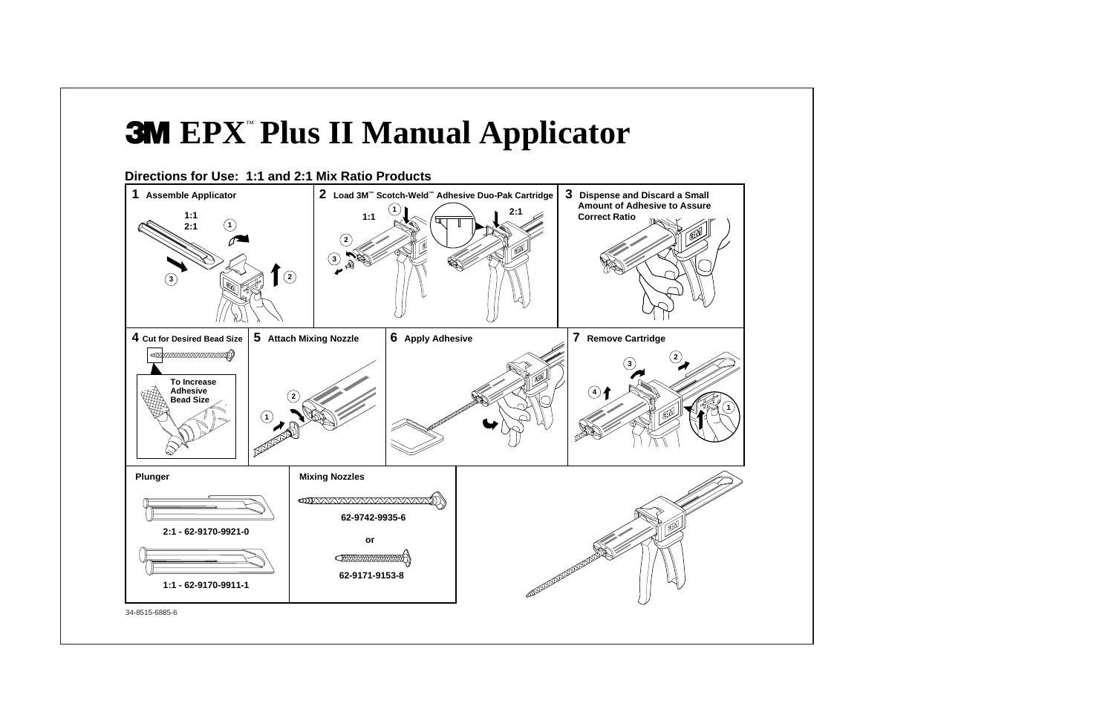## **EPX** ™ **Plus II Manual Applicator**





34-8515-6885-6